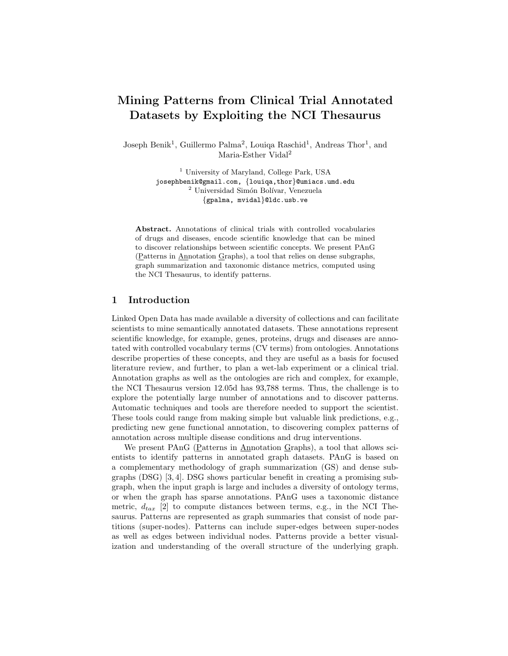# Mining Patterns from Clinical Trial Annotated Datasets by Exploiting the NCI Thesaurus

Joseph Benik<sup>1</sup>, Guillermo Palma<sup>2</sup>, Louiqa Raschid<sup>1</sup>, Andreas Thor<sup>1</sup>, and Maria-Esther Vidal<sup>2</sup>

> <sup>1</sup> University of Maryland, College Park, USA josephbenik@gmail.com, {louiqa,thor}@umiacs.umd.edu <sup>2</sup> Universidad Simón Bolívar, Venezuela {gpalma, mvidal}@ldc.usb.ve

Abstract. Annotations of clinical trials with controlled vocabularies of drugs and diseases, encode scientific knowledge that can be mined to discover relationships between scientific concepts. We present PAnG (Patterns in Annotation Graphs), a tool that relies on dense subgraphs, graph summarization and taxonomic distance metrics, computed using the NCI Thesaurus, to identify patterns.

## 1 Introduction

Linked Open Data has made available a diversity of collections and can facilitate scientists to mine semantically annotated datasets. These annotations represent scientific knowledge, for example, genes, proteins, drugs and diseases are annotated with controlled vocabulary terms (CV terms) from ontologies. Annotations describe properties of these concepts, and they are useful as a basis for focused literature review, and further, to plan a wet-lab experiment or a clinical trial. Annotation graphs as well as the ontologies are rich and complex, for example, the NCI Thesaurus version 12.05d has 93,788 terms. Thus, the challenge is to explore the potentially large number of annotations and to discover patterns. Automatic techniques and tools are therefore needed to support the scientist. These tools could range from making simple but valuable link predictions, e.g., predicting new gene functional annotation, to discovering complex patterns of annotation across multiple disease conditions and drug interventions.

We present PAnG (Patterns in Annotation Graphs), a tool that allows scientists to identify patterns in annotated graph datasets. PAnG is based on a complementary methodology of graph summarization (GS) and dense subgraphs (DSG) [3, 4]. DSG shows particular benefit in creating a promising subgraph, when the input graph is large and includes a diversity of ontology terms, or when the graph has sparse annotations. PAnG uses a taxonomic distance metric,  $d_{tar}$  [2] to compute distances between terms, e.g., in the NCI Thesaurus. Patterns are represented as graph summaries that consist of node partitions (super-nodes). Patterns can include super-edges between super-nodes as well as edges between individual nodes. Patterns provide a better visualization and understanding of the overall structure of the underlying graph.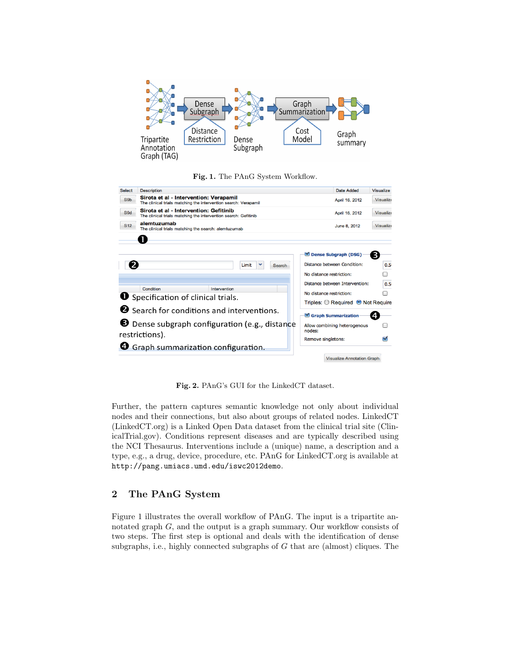

#### Fig. 1. The PAnG System Workflow.



Fig. 2. PAnG's GUI for the LinkedCT dataset.

Further, the pattern captures semantic knowledge not only about individual nodes and their connections, but also about groups of related nodes. LinkedCT (LinkedCT.org) is a Linked Open Data dataset from the clinical trial site (ClinicalTrial.gov). Conditions represent diseases and are typically described using the NCI Thesaurus. Interventions include a (unique) name, a description and a type, e.g., a drug, device, procedure, etc. PAnG for LinkedCT.org is available at http://pang.umiacs.umd.edu/iswc2012demo.

# 2 The PAnG System

Figure 1 illustrates the overall workflow of PAnG. The input is a tripartite annotated graph G, and the output is a graph summary. Our workflow consists of two steps. The first step is optional and deals with the identification of dense subgraphs, i.e., highly connected subgraphs of  $G$  that are (almost) cliques. The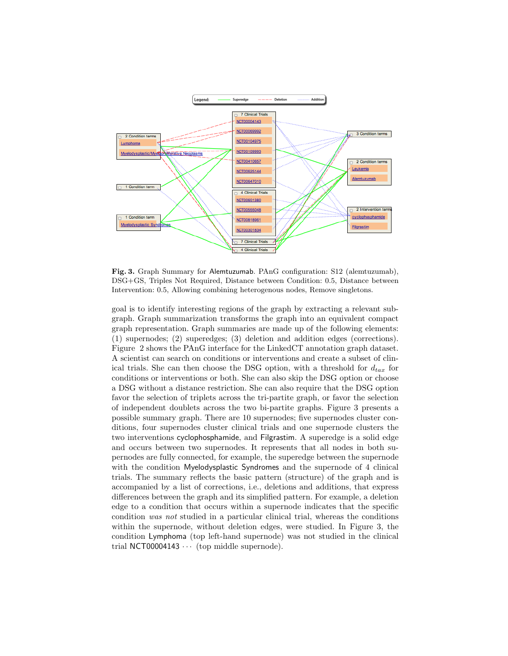

Fig. 3. Graph Summary for Alemtuzumab. PAnG configuration: S12 (alemtuzumab), DSG+GS, Triples Not Required, Distance between Condition: 0.5, Distance between Intervention: 0.5, Allowing combining heterogenous nodes, Remove singletons.

goal is to identify interesting regions of the graph by extracting a relevant subgraph. Graph summarization transforms the graph into an equivalent compact graph representation. Graph summaries are made up of the following elements: (1) supernodes; (2) superedges; (3) deletion and addition edges (corrections). Figure 2 shows the PAnG interface for the LinkedCT annotation graph dataset. A scientist can search on conditions or interventions and create a subset of clinical trials. She can then choose the DSG option, with a threshold for  $d_{tax}$  for conditions or interventions or both. She can also skip the DSG option or choose a DSG without a distance restriction. She can also require that the DSG option favor the selection of triplets across the tri-partite graph, or favor the selection of independent doublets across the two bi-partite graphs. Figure 3 presents a possible summary graph. There are 10 supernodes; five supernodes cluster conditions, four supernodes cluster clinical trials and one supernode clusters the two interventions cyclophosphamide, and Filgrastim. A superedge is a solid edge and occurs between two supernodes. It represents that all nodes in both supernodes are fully connected, for example, the superedge between the supernode with the condition Myelodysplastic Syndromes and the supernode of 4 clinical trials. The summary reflects the basic pattern (structure) of the graph and is accompanied by a list of corrections, i.e., deletions and additions, that express differences between the graph and its simplified pattern. For example, a deletion edge to a condition that occurs within a supernode indicates that the specific condition was not studied in a particular clinical trial, whereas the conditions within the supernode, without deletion edges, were studied. In Figure 3, the condition Lymphoma (top left-hand supernode) was not studied in the clinical trial NCT00004143  $\cdots$  (top middle supernode).